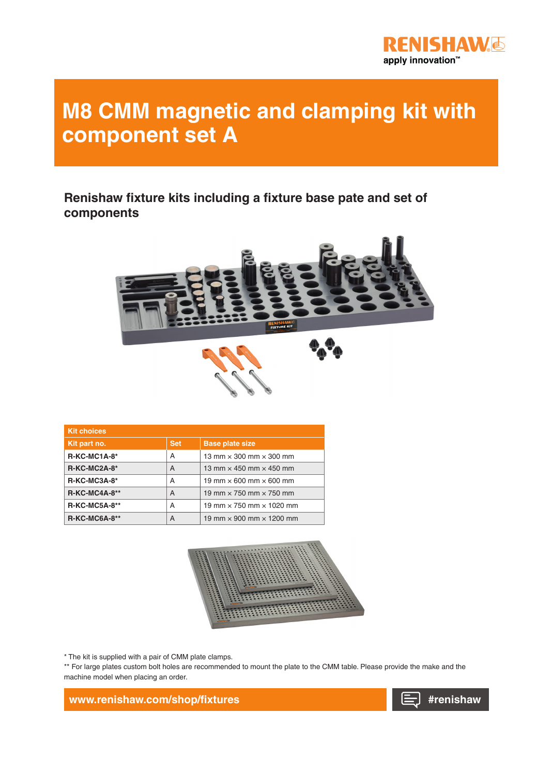

## **M8 CMM magnetic and clamping kit with component set A**

**Renishaw fixture kits including a fixture base pate and set of components**



| <b>Kit choices</b>   |            |                                        |
|----------------------|------------|----------------------------------------|
| Kit part no.         | <b>Set</b> | <b>Base plate size</b>                 |
| $R-KC-MC1A-8*$       | A          | 13 mm $\times$ 300 mm $\times$ 300 mm  |
| $R-KC-MC2A-8*$       | A          | 13 mm $\times$ 450 mm $\times$ 450 mm  |
| $R-KC-MC3A-8*$       | A          | 19 mm $\times$ 600 mm $\times$ 600 mm  |
| <b>R-KC-MC4A-8**</b> | A          | 19 mm $\times$ 750 mm $\times$ 750 mm  |
| <b>R-KC-MC5A-8**</b> | A          | 19 mm $\times$ 750 mm $\times$ 1020 mm |
| <b>R-KC-MC6A-8**</b> | A          | 19 mm $\times$ 900 mm $\times$ 1200 mm |



\* The kit is supplied with a pair of CMM plate clamps.

\*\* For large plates custom bolt holes are recommended to mount the plate to the CMM table. Please provide the make and the machine model when placing an order.

**www.renishaw.com/shop/fixtures**